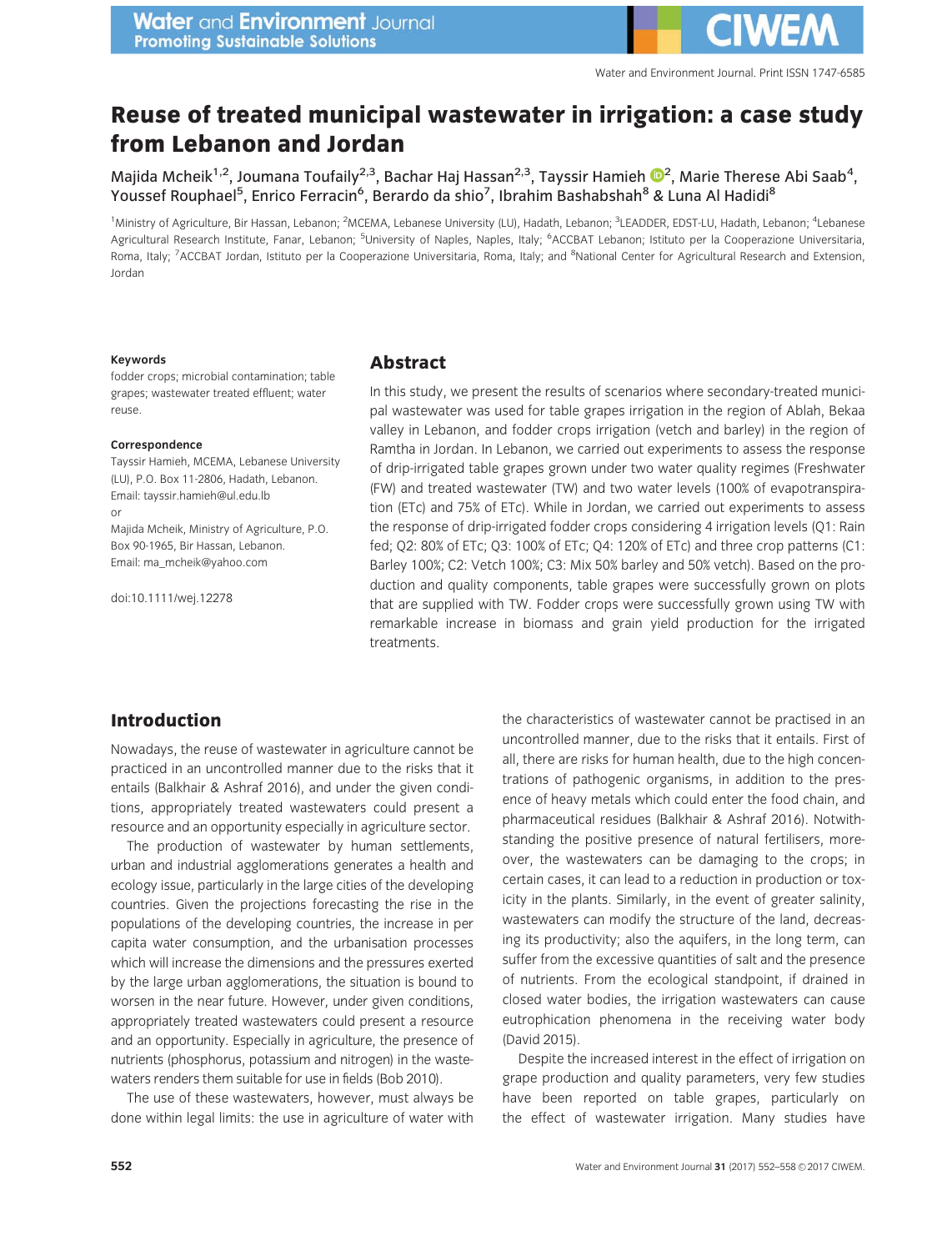# Reuse of treated municipal wastewater in irrigation: a case study from Lebanon and Jordan

Majida Mcheik $^{1,2}$  $^{1,2}$  $^{1,2}$ , Joumana Toufaily $^{2,3}$ , Bachar Haj Hassan $^{2,3}$ , Tayssir Hamieh  $\mathbf{O}^2$ , Marie Therese Abi Saab $^4$ , Youssef Rouphael<sup>5</sup>, Enrico Ferracin<sup>6</sup>, Berardo da shio<sup>7</sup>, Ibrahim Bashabshah<sup>8</sup> & Luna Al Hadidi<sup>8</sup>

<sup>1</sup>Ministry of Agriculture, Bir Hassan, Lebanon; <sup>2</sup>MCEMA, Lebanese University (LU), Hadath, Lebanon; <sup>3</sup>LEADDER, EDST-LU, Hadath, Lebanon; <sup>4</sup>Lebanese Agricultural Research Institute, Fanar, Lebanon; <sup>5</sup>University of Naples, Naples, Italy; <sup>6</sup>ACCBAT Lebanon; Istituto per la Cooperazione Universitaria, Roma, Italy; <sup>7</sup>ACCBAT Jordan, Istituto per la Cooperazione Universitaria, Roma, Italy; and <sup>8</sup>National Center for Agricultural Research and Extension, Jordan

#### Keywords

### fodder crops; microbial contamination; table grapes; wastewater treated effluent; water reuse.

#### Correspondence

Tayssir Hamieh, MCEMA, Lebanese University (LU), P.O. Box 11-2806, Hadath, Lebanon. Email: tayssir.hamieh@ul.edu.lb or Majida Mcheik, Ministry of Agriculture, P.O.

Box 90-1965, Bir Hassan, Lebanon. Email: ma\_mcheik@yahoo.com

doi:10.1111/wej.12278

# Abstract

In this study, we present the results of scenarios where secondary-treated municipal wastewater was used for table grapes irrigation in the region of Ablah, Bekaa valley in Lebanon, and fodder crops irrigation (vetch and barley) in the region of Ramtha in Jordan. In Lebanon, we carried out experiments to assess the response of drip-irrigated table grapes grown under two water quality regimes (Freshwater (FW) and treated wastewater (TW) and two water levels (100% of evapotranspiration (ETc) and 75% of ETc). While in Jordan, we carried out experiments to assess the response of drip-irrigated fodder crops considering 4 irrigation levels (Q1: Rain fed; Q2: 80% of ETc; Q3: 100% of ETc; Q4: 120% of ETc) and three crop patterns (C1: Barley 100%; C2: Vetch 100%; C3: Mix 50% barley and 50% vetch). Based on the production and quality components, table grapes were successfully grown on plots that are supplied with TW. Fodder crops were successfully grown using TW with remarkable increase in biomass and grain yield production for the irrigated treatments.

# Introduction

Nowadays, the reuse of wastewater in agriculture cannot be practiced in an uncontrolled manner due to the risks that it entails (Balkhair & Ashraf 2016), and under the given conditions, appropriately treated wastewaters could present a resource and an opportunity especially in agriculture sector.

The production of wastewater by human settlements, urban and industrial agglomerations generates a health and ecology issue, particularly in the large cities of the developing countries. Given the projections forecasting the rise in the populations of the developing countries, the increase in per capita water consumption, and the urbanisation processes which will increase the dimensions and the pressures exerted by the large urban agglomerations, the situation is bound to worsen in the near future. However, under given conditions, appropriately treated wastewaters could present a resource and an opportunity. Especially in agriculture, the presence of nutrients (phosphorus, potassium and nitrogen) in the wastewaters renders them suitable for use in fields (Bob 2010).

The use of these wastewaters, however, must always be done within legal limits: the use in agriculture of water with the characteristics of wastewater cannot be practised in an uncontrolled manner, due to the risks that it entails. First of all, there are risks for human health, due to the high concentrations of pathogenic organisms, in addition to the presence of heavy metals which could enter the food chain, and pharmaceutical residues (Balkhair & Ashraf 2016). Notwithstanding the positive presence of natural fertilisers, moreover, the wastewaters can be damaging to the crops; in certain cases, it can lead to a reduction in production or toxicity in the plants. Similarly, in the event of greater salinity, wastewaters can modify the structure of the land, decreasing its productivity; also the aquifers, in the long term, can suffer from the excessive quantities of salt and the presence of nutrients. From the ecological standpoint, if drained in closed water bodies, the irrigation wastewaters can cause eutrophication phenomena in the receiving water body (David 2015).

Despite the increased interest in the effect of irrigation on grape production and quality parameters, very few studies have been reported on table grapes, particularly on the effect of wastewater irrigation. Many studies have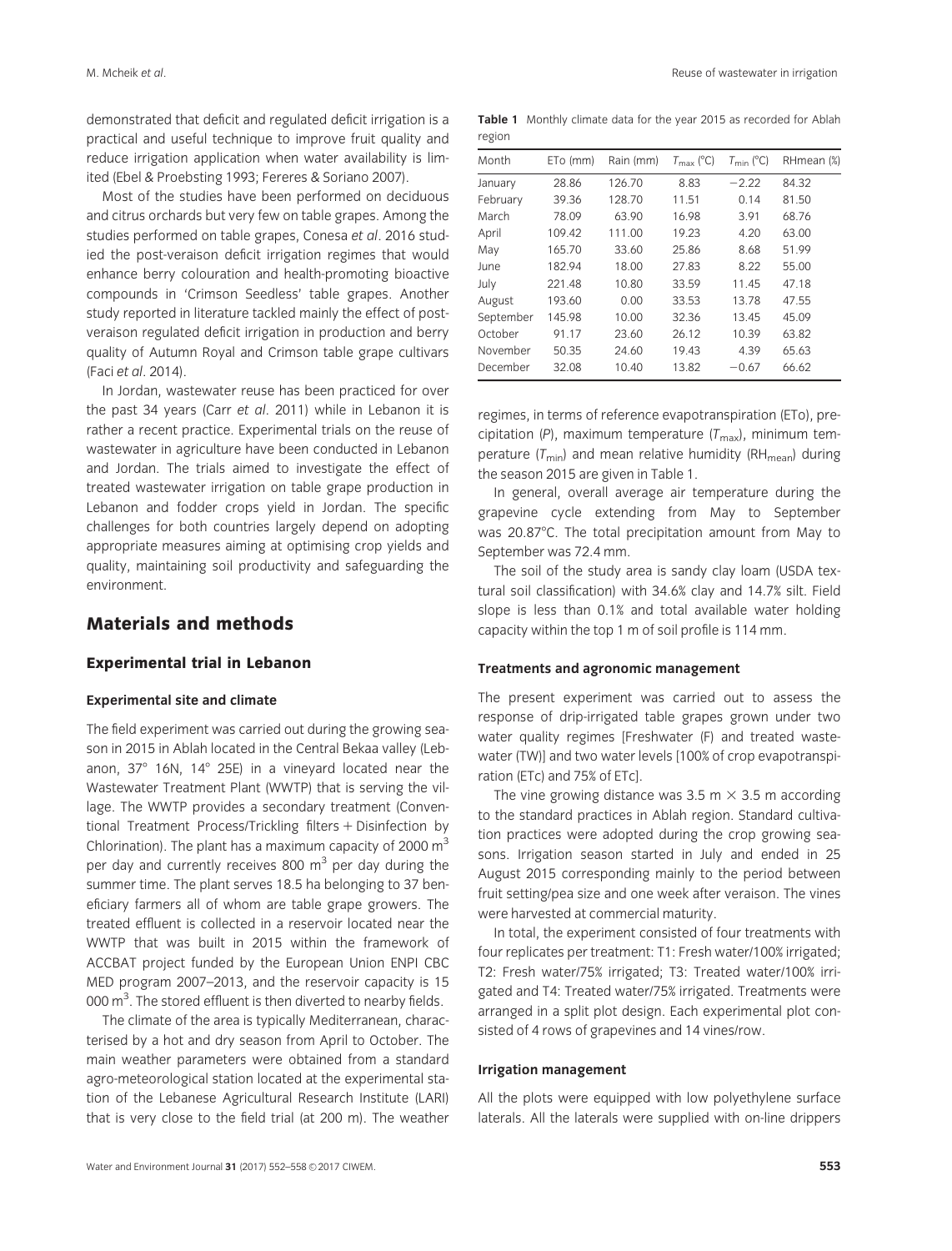demonstrated that deficit and regulated deficit irrigation is a practical and useful technique to improve fruit quality and reduce irrigation application when water availability is limited (Ebel & Proebsting 1993; Fereres & Soriano 2007).

Most of the studies have been performed on deciduous and citrus orchards but very few on table grapes. Among the studies performed on table grapes, Conesa et al. 2016 studied the post-veraison deficit irrigation regimes that would enhance berry colouration and health-promoting bioactive compounds in 'Crimson Seedless' table grapes. Another study reported in literature tackled mainly the effect of postveraison regulated deficit irrigation in production and berry quality of Autumn Royal and Crimson table grape cultivars (Faci et al. 2014).

In Jordan, wastewater reuse has been practiced for over the past 34 years (Carr et al. 2011) while in Lebanon it is rather a recent practice. Experimental trials on the reuse of wastewater in agriculture have been conducted in Lebanon and Jordan. The trials aimed to investigate the effect of treated wastewater irrigation on table grape production in Lebanon and fodder crops yield in Jordan. The specific challenges for both countries largely depend on adopting appropriate measures aiming at optimising crop yields and quality, maintaining soil productivity and safeguarding the environment.

# Materials and methods

# Experimental trial in Lebanon

### Experimental site and climate

The field experiment was carried out during the growing season in 2015 in Ablah located in the Central Bekaa valley (Lebanon,  $37^\circ$  16N, 14 $^\circ$  25E) in a vineyard located near the Wastewater Treatment Plant (WWTP) that is serving the village. The WWTP provides a secondary treatment (Conventional Treatment Process/Trickling filters + Disinfection by Chlorination). The plant has a maximum capacity of 2000  $\mathrm{m}^3$ per day and currently receives 800  $m<sup>3</sup>$  per day during the summer time. The plant serves 18.5 ha belonging to 37 beneficiary farmers all of whom are table grape growers. The treated effluent is collected in a reservoir located near the WWTP that was built in 2015 within the framework of ACCBAT project funded by the European Union ENPI CBC MED program 2007–2013, and the reservoir capacity is 15 000  $\text{m}^3$ . The stored effluent is then diverted to nearby fields.

The climate of the area is typically Mediterranean, characterised by a hot and dry season from April to October. The main weather parameters were obtained from a standard agro-meteorological station located at the experimental station of the Lebanese Agricultural Research Institute (LARI) that is very close to the field trial (at 200 m). The weather

Table 1 Monthly climate data for the year 2015 as recorded for Ablah

region

| Month     | ETo (mm) | Rain (mm) | $T_{\rm max}$ (°C) | $T_{\text{min}}$ (°C) | RHmean (%) |
|-----------|----------|-----------|--------------------|-----------------------|------------|
| January   | 28.86    | 126.70    | 8.83               | $-2.22$               | 84.32      |
| February  | 39.36    | 128.70    | 11.51              | 0.14                  | 81.50      |
| March     | 78.09    | 63.90     | 16.98              | 3.91                  | 68.76      |
| April     | 109.42   | 111.00    | 19.23              | 4.20                  | 63.00      |
| May       | 165.70   | 33.60     | 25.86              | 8.68                  | 51.99      |
| June      | 182.94   | 18.00     | 27.83              | 8.22                  | 55.00      |
| July      | 221.48   | 10.80     | 33.59              | 11.45                 | 47.18      |
| August    | 193.60   | 0.00      | 33.53              | 13.78                 | 47.55      |
| September | 145.98   | 10.00     | 32.36              | 13.45                 | 45.09      |
| October   | 91.17    | 23.60     | 26.12              | 10.39                 | 63.82      |
| November  | 50.35    | 24.60     | 19.43              | 4.39                  | 65.63      |
| December  | 32.08    | 10.40     | 13.82              | $-0.67$               | 66.62      |

regimes, in terms of reference evapotranspiration (ETo), precipitation (P), maximum temperature  $(T_{\text{max}})$ , minimum temperature ( $T_{min}$ ) and mean relative humidity (RH<sub>mean</sub>) during the season 2015 are given in Table 1.

In general, overall average air temperature during the grapevine cycle extending from May to September was 20.87°C. The total precipitation amount from May to September was 72.4 mm.

The soil of the study area is sandy clay loam (USDA textural soil classification) with 34.6% clay and 14.7% silt. Field slope is less than 0.1% and total available water holding capacity within the top 1 m of soil profile is 114 mm.

### Treatments and agronomic management

The present experiment was carried out to assess the response of drip-irrigated table grapes grown under two water quality regimes [Freshwater (F) and treated wastewater (TW)] and two water levels [100% of crop evapotranspiration (ETc) and 75% of ETc].

The vine growing distance was 3.5 m  $\times$  3.5 m according to the standard practices in Ablah region. Standard cultivation practices were adopted during the crop growing seasons. Irrigation season started in July and ended in 25 August 2015 corresponding mainly to the period between fruit setting/pea size and one week after veraison. The vines were harvested at commercial maturity.

In total, the experiment consisted of four treatments with four replicates per treatment: T1: Fresh water/100% irrigated; T2: Fresh water/75% irrigated; T3: Treated water/100% irrigated and T4: Treated water/75% irrigated. Treatments were arranged in a split plot design. Each experimental plot consisted of 4 rows of grapevines and 14 vines/row.

#### Irrigation management

All the plots were equipped with low polyethylene surface laterals. All the laterals were supplied with on-line drippers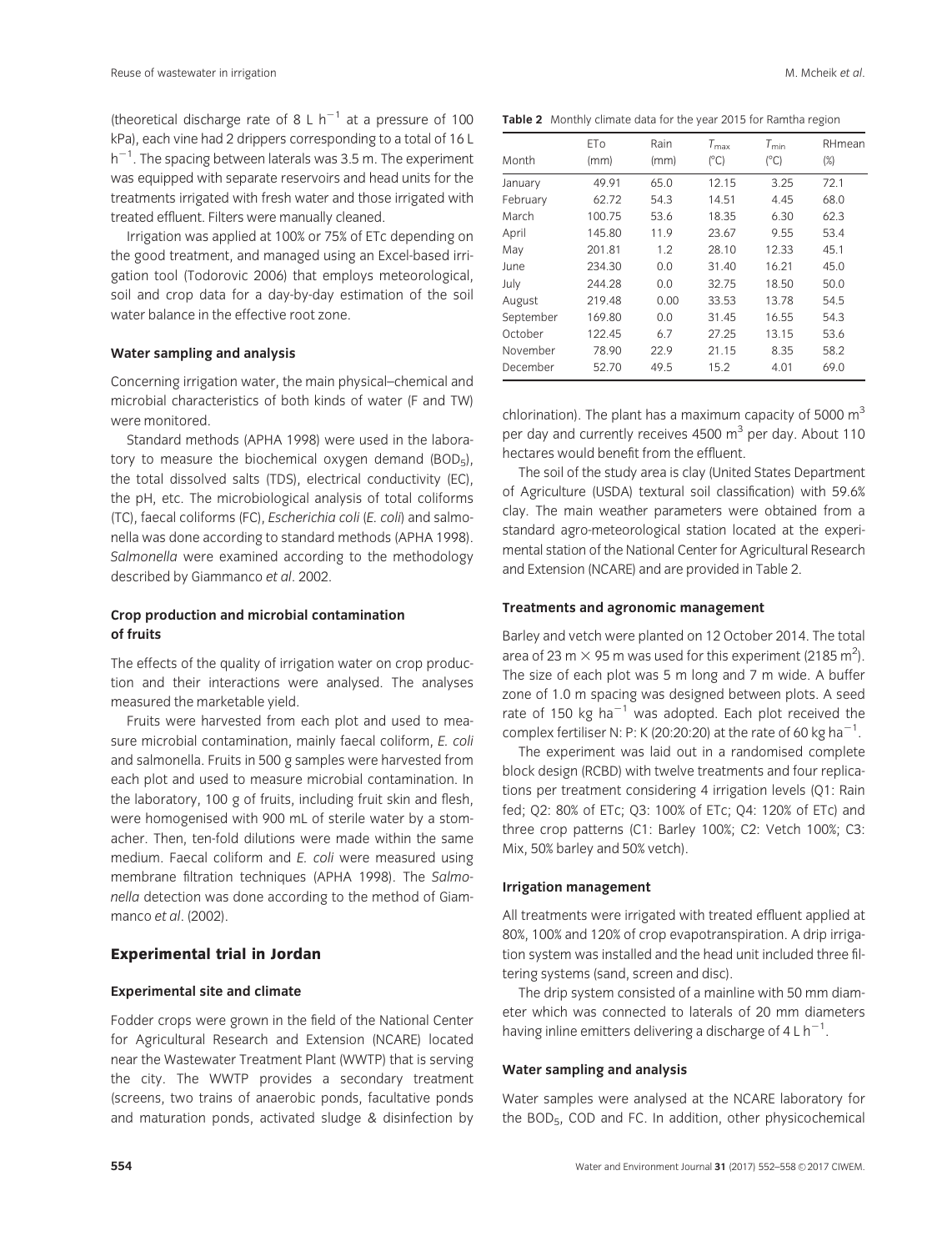(theoretical discharge rate of 8 L  $h^{-1}$  at a pressure of 100 kPa), each vine had 2 drippers corresponding to a total of 16 L  $\mathsf{h}^{-1}.$  The spacing between laterals was 3.5 m. The experiment was equipped with separate reservoirs and head units for the treatments irrigated with fresh water and those irrigated with treated effluent. Filters were manually cleaned.

Irrigation was applied at 100% or 75% of ETc depending on the good treatment, and managed using an Excel-based irrigation tool (Todorovic 2006) that employs meteorological, soil and crop data for a day-by-day estimation of the soil water balance in the effective root zone.

#### Water sampling and analysis

Concerning irrigation water, the main physical–chemical and microbial characteristics of both kinds of water (F and TW) were monitored.

Standard methods (APHA 1998) were used in the laboratory to measure the biochemical oxygen demand  $(BOD_5)$ , the total dissolved salts (TDS), electrical conductivity (EC), the pH, etc. The microbiological analysis of total coliforms (TC), faecal coliforms (FC), Escherichia coli (E. coli) and salmonella was done according to standard methods (APHA 1998). Salmonella were examined according to the methodology described by Giammanco et al. 2002.

# Crop production and microbial contamination of fruits

The effects of the quality of irrigation water on crop production and their interactions were analysed. The analyses measured the marketable yield.

Fruits were harvested from each plot and used to measure microbial contamination, mainly faecal coliform, E. coli and salmonella. Fruits in 500 g samples were harvested from each plot and used to measure microbial contamination. In the laboratory, 100 g of fruits, including fruit skin and flesh, were homogenised with 900 mL of sterile water by a stomacher. Then, ten-fold dilutions were made within the same medium. Faecal coliform and E. coli were measured using membrane filtration techniques (APHA 1998). The Salmonella detection was done according to the method of Giammanco et al. (2002).

### Experimental trial in Jordan

#### Experimental site and climate

Fodder crops were grown in the field of the National Center for Agricultural Research and Extension (NCARE) located near the Wastewater Treatment Plant (WWTP) that is serving the city. The WWTP provides a secondary treatment (screens, two trains of anaerobic ponds, facultative ponds and maturation ponds, activated sludge & disinfection by

|  | Table 2 Monthly climate data for the year 2015 for Ramtha region |  |  |  |  |  |  |  |  |
|--|------------------------------------------------------------------|--|--|--|--|--|--|--|--|
|--|------------------------------------------------------------------|--|--|--|--|--|--|--|--|

| Month     | ET <sub>0</sub><br>(mm) | Rain<br>(mm) | $T_{\text{max}}$<br>(°C) | $T_{\sf min}$<br>$(^{\circ}C)$ | RHmean<br>$(\%)$ |
|-----------|-------------------------|--------------|--------------------------|--------------------------------|------------------|
| January   | 49.91                   | 65.0         | 12.15                    | 3.25                           | 72.1             |
| February  | 62.72                   | 54.3         | 14.51                    | 4.45                           | 68.0             |
| March     | 100.75                  | 53.6         | 18.35                    | 6.30                           | 62.3             |
| April     | 145.80                  | 11.9         | 23.67                    | 9.55                           | 53.4             |
| May       | 201.81                  | 1.2          | 28.10                    | 12.33                          | 45.1             |
| June      | 234.30                  | 0.0          | 31.40                    | 16.21                          | 45.0             |
| July      | 244.28                  | 0.0          | 32.75                    | 18.50                          | 50.0             |
| August    | 219.48                  | 0.00         | 33.53                    | 13.78                          | 54.5             |
| September | 169.80                  | 0.0          | 31.45                    | 16.55                          | 54.3             |
| October   | 122.45                  | 6.7          | 27.25                    | 13.15                          | 53.6             |
| November  | 78.90                   | 22.9         | 21.15                    | 8.35                           | 58.2             |
| December  | 52.70                   | 49.5         | 15.2                     | 4.01                           | 69.0             |

chlorination). The plant has a maximum capacity of 5000  $m<sup>3</sup>$ per day and currently receives 4500  $\text{m}^3$  per day. About 110 hectares would benefit from the effluent.

The soil of the study area is clay (United States Department of Agriculture (USDA) textural soil classification) with 59.6% clay. The main weather parameters were obtained from a standard agro-meteorological station located at the experimental station of the National Center for Agricultural Research and Extension (NCARE) and are provided in Table 2.

#### Treatments and agronomic management

Barley and vetch were planted on 12 October 2014. The total area of 23 m  $\times$  95 m was used for this experiment (2185 m<sup>2</sup>). The size of each plot was 5 m long and 7 m wide. A buffer zone of 1.0 m spacing was designed between plots. A seed rate of 150 kg ha $^{-1}$  was adopted. Each plot received the complex fertiliser N: P: K (20:20:20) at the rate of 60 kg ha<sup>-1</sup>.

The experiment was laid out in a randomised complete block design (RCBD) with twelve treatments and four replications per treatment considering 4 irrigation levels (Q1: Rain fed; Q2: 80% of ETc; Q3: 100% of ETc; Q4: 120% of ETc) and three crop patterns (C1: Barley 100%; C2: Vetch 100%; C3: Mix, 50% barley and 50% vetch).

#### Irrigation management

All treatments were irrigated with treated effluent applied at 80%, 100% and 120% of crop evapotranspiration. A drip irrigation system was installed and the head unit included three filtering systems (sand, screen and disc).

The drip system consisted of a mainline with 50 mm diameter which was connected to laterals of 20 mm diameters having inline emitters delivering a discharge of 4 L  $h^{-1}$ .

#### Water sampling and analysis

Water samples were analysed at the NCARE laboratory for the BOD5, COD and FC. In addition, other physicochemical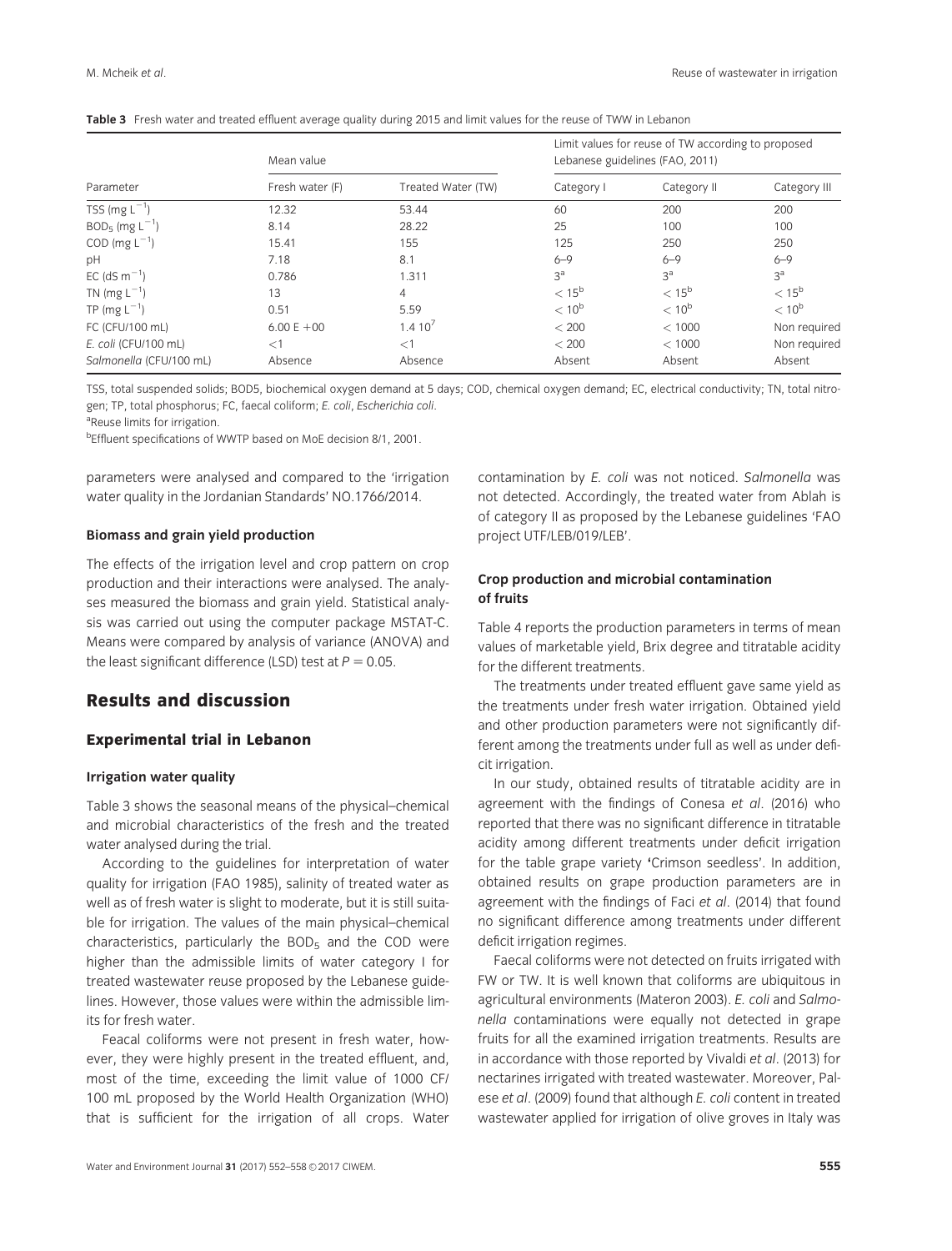|                              | Mean value      |                    | Limit values for reuse of TW according to proposed<br>Lebanese guidelines (FAO, 2011) |                |                   |  |
|------------------------------|-----------------|--------------------|---------------------------------------------------------------------------------------|----------------|-------------------|--|
| Parameter                    | Fresh water (F) | Treated Water (TW) | Category I                                                                            | Category II    | Category III      |  |
| TSS (mg $L^{-1}$ )           | 12.32           | 53.44              | 60                                                                                    | 200            | 200               |  |
| $BOD5$ (mg L <sup>-1</sup> ) | 8.14            | 28.22              | 25                                                                                    | 100            | 100               |  |
| COD (mg $L^{-1}$ )           | 15.41           | 155                | 125                                                                                   | 250            | 250               |  |
| pH                           | 7.18            | 8.1                | $6 - 9$                                                                               | $6 - 9$        | $6 - 9$           |  |
| EC (dS $m^{-1}$ )            | 0.786           | 1.311              | 3 <sup>a</sup>                                                                        | 3 <sup>a</sup> | 3 <sup>a</sup>    |  |
| TN (mg $L^{-1}$ )            | 13              | 4                  | $< 15^{\rm b}$                                                                        | $< 15^{\rm b}$ | $< 15^{\rm b}$    |  |
| TP (mg $L^{-1}$ )            | 0.51            | 5.59               | $< 10^{\rm b}$                                                                        | $< 10^{6}$     | < 10 <sup>b</sup> |  |
| FC (CFU/100 mL)              | $6.00 E + 00$   | 1.410 <sup>7</sup> | < 200                                                                                 | < 1000         | Non required      |  |
| E. coli (CFU/100 mL)         | $\lt 1$         | $<$ 1              | < 200                                                                                 | < 1000         | Non required      |  |
| Salmonella (CFU/100 mL)      | Absence         | Absence            | Absent                                                                                | Absent         | Absent            |  |

|  | Table 3 Fresh water and treated effluent average quality during 2015 and limit values for the reuse of TWW in Lebanon |  |  |  |  |
|--|-----------------------------------------------------------------------------------------------------------------------|--|--|--|--|
|--|-----------------------------------------------------------------------------------------------------------------------|--|--|--|--|

TSS, total suspended solids; BOD5, biochemical oxygen demand at 5 days; COD, chemical oxygen demand; EC, electrical conductivity; TN, total nitrogen; TP, total phosphorus; FC, faecal coliform; E. coli, Escherichia coli.

<sup>a</sup>Reuse limits for irrigation.

<sup>b</sup>Effluent specifications of WWTP based on MoE decision 8/1, 2001.

parameters were analysed and compared to the 'irrigation water quality in the Jordanian Standards' NO.1766/2014.

# Biomass and grain yield production

The effects of the irrigation level and crop pattern on crop production and their interactions were analysed. The analyses measured the biomass and grain yield. Statistical analysis was carried out using the computer package MSTAT-C. Means were compared by analysis of variance (ANOVA) and the least significant difference (LSD) test at  $P = 0.05$ .

# Results and discussion

# Experimental trial in Lebanon

### Irrigation water quality

Table 3 shows the seasonal means of the physical–chemical and microbial characteristics of the fresh and the treated water analysed during the trial.

According to the guidelines for interpretation of water quality for irrigation (FAO 1985), salinity of treated water as well as of fresh water is slight to moderate, but it is still suitable for irrigation. The values of the main physical–chemical characteristics, particularly the BOD $<sub>5</sub>$  and the COD were</sub> higher than the admissible limits of water category I for treated wastewater reuse proposed by the Lebanese guidelines. However, those values were within the admissible limits for fresh water.

Feacal coliforms were not present in fresh water, however, they were highly present in the treated effluent, and, most of the time, exceeding the limit value of 1000 CF/ 100 mL proposed by the World Health Organization (WHO) that is sufficient for the irrigation of all crops. Water contamination by E. coli was not noticed. Salmonella was not detected. Accordingly, the treated water from Ablah is of category II as proposed by the Lebanese guidelines 'FAO project UTF/LEB/019/LEB'.

# Crop production and microbial contamination of fruits

Table 4 reports the production parameters in terms of mean values of marketable yield, Brix degree and titratable acidity for the different treatments.

The treatments under treated effluent gave same yield as the treatments under fresh water irrigation. Obtained yield and other production parameters were not significantly different among the treatments under full as well as under deficit irrigation.

In our study, obtained results of titratable acidity are in agreement with the findings of Conesa et al. (2016) who reported that there was no significant difference in titratable acidity among different treatments under deficit irrigation for the table grape variety 'Crimson seedless'. In addition, obtained results on grape production parameters are in agreement with the findings of Faci et al. (2014) that found no significant difference among treatments under different deficit irrigation regimes.

Faecal coliforms were not detected on fruits irrigated with FW or TW. It is well known that coliforms are ubiquitous in agricultural environments (Materon 2003). E. coli and Salmonella contaminations were equally not detected in grape fruits for all the examined irrigation treatments. Results are in accordance with those reported by Vivaldi et al. (2013) for nectarines irrigated with treated wastewater. Moreover, Palese et al. (2009) found that although E. coli content in treated wastewater applied for irrigation of olive groves in Italy was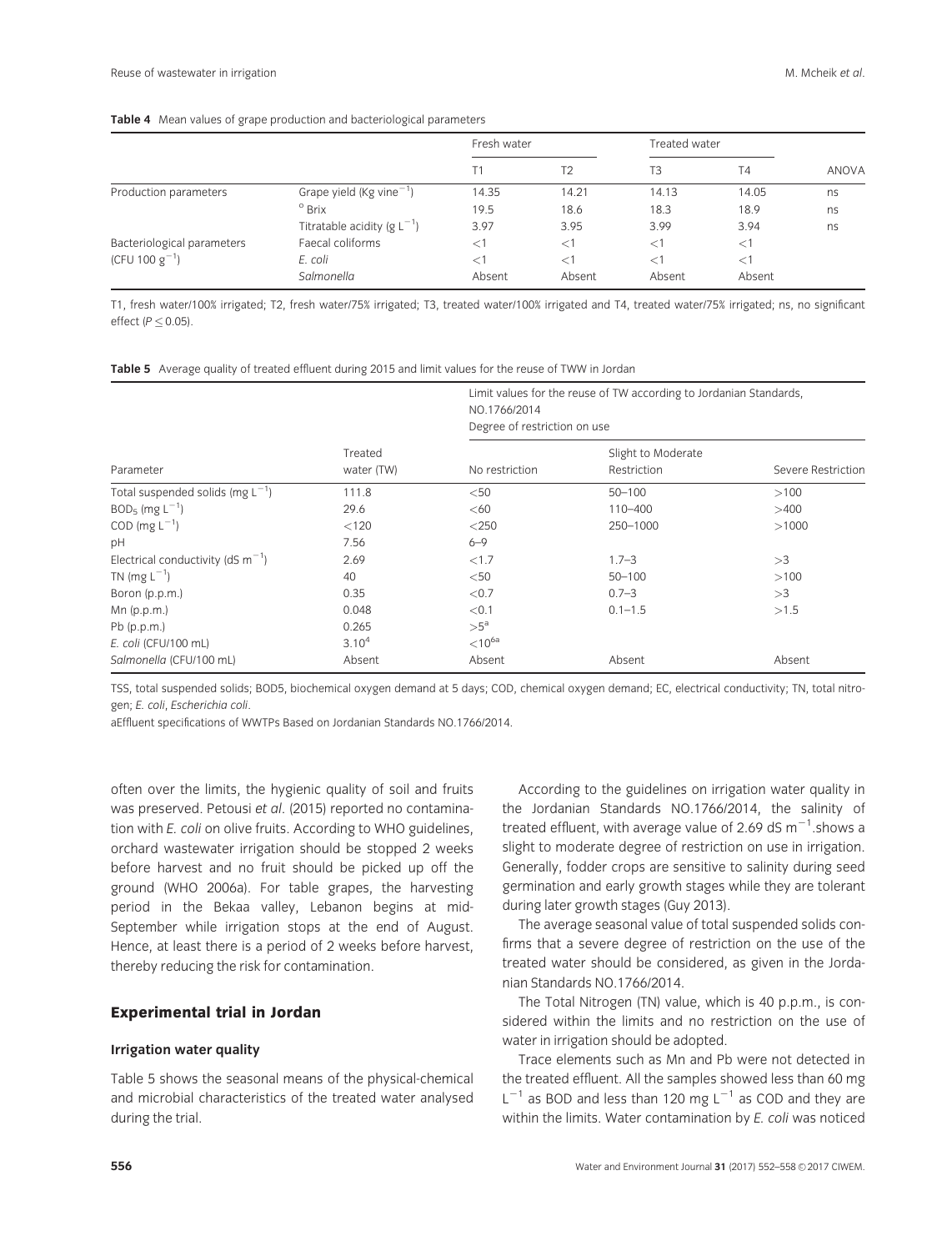|                            |                                         | Fresh water    |                | Treated water |           |       |
|----------------------------|-----------------------------------------|----------------|----------------|---------------|-----------|-------|
|                            |                                         | T <sub>1</sub> | T <sub>2</sub> | T3            | <b>T4</b> | ANOVA |
| Production parameters      | Grape yield ( $Kg$ vine <sup>-1</sup> ) | 14.35          | 14.21          | 14.13         | 14.05     | ns    |
|                            | $^{\circ}$ Brix                         | 19.5           | 18.6           | 18.3          | 18.9      | ns    |
|                            | Titratable acidity (g $L^{-1}$ )        | 3.97           | 3.95           | 3.99          | 3.94      | ns    |
| Bacteriological parameters | Faecal coliforms                        | $<$ 1          | $<$ 1          | $\leq$ 1      | $\leq$ 1  |       |
| (CFU 100 $g^{-1}$ )        | E. coli                                 | $<$ 1          | $<$ 1          | $\leq$ 1      | $\lt$ 1   |       |
|                            | Salmonella                              | Absent         | Absent         | Absent        | Absent    |       |

T1, fresh water/100% irrigated; T2, fresh water/75% irrigated; T3, treated water/100% irrigated and T4, treated water/75% irrigated; ns, no significant effect ( $P \leq 0.05$ ).

| Table 5 Average quality of treated effluent during 2015 and limit values for the reuse of TWW in Jordan |  |
|---------------------------------------------------------------------------------------------------------|--|
|---------------------------------------------------------------------------------------------------------|--|

|                                        |                       | Limit values for the reuse of TW according to Jordanian Standards,<br>NO.1766/2014<br>Degree of restriction on use |                                   |                    |  |  |
|----------------------------------------|-----------------------|--------------------------------------------------------------------------------------------------------------------|-----------------------------------|--------------------|--|--|
| Parameter                              | Treated<br>water (TW) | No restriction                                                                                                     | Slight to Moderate<br>Restriction | Severe Restriction |  |  |
| Total suspended solids (mg $L^{-1}$ )  | 111.8                 | $50$                                                                                                               | $50 - 100$                        | >100               |  |  |
| $BOD5$ (mg $L-1$ )                     | 29.6                  | <60                                                                                                                | $110 - 400$                       | >400               |  |  |
| COD (mg $L^{-1}$ )                     | < 120                 | $<$ 250                                                                                                            | 250-1000                          | >1000              |  |  |
| pH                                     | 7.56                  | $6 - 9$                                                                                                            |                                   |                    |  |  |
| Electrical conductivity (dS $m^{-1}$ ) | 2.69                  | < 1.7                                                                                                              | $1.7 - 3$                         | >3                 |  |  |
| TN (mg $L^{-1}$ )                      | 40                    | $<$ 50                                                                                                             | $50 - 100$                        | >100               |  |  |
| Boron (p.p.m.)                         | 0.35                  | < 0.7                                                                                                              | $0.7 - 3$                         | >3                 |  |  |
| $Mn$ (p.p.m.)                          | 0.048                 | < 0.1                                                                                                              | $0.1 - 1.5$                       | >1.5               |  |  |
| $Pb$ (p.p.m.)                          | 0.265                 | $>5^a$                                                                                                             |                                   |                    |  |  |
| E. coli (CFU/100 mL)                   | 3.10 <sup>4</sup>     | $< 10^{6a}$                                                                                                        |                                   |                    |  |  |
| Salmonella (CFU/100 mL)                | Absent                | Absent                                                                                                             | Absent                            | Absent             |  |  |

TSS, total suspended solids; BOD5, biochemical oxygen demand at 5 days; COD, chemical oxygen demand; EC, electrical conductivity; TN, total nitrogen; E. coli, Escherichia coli.

aEffluent specifications of WWTPs Based on Jordanian Standards NO.1766/2014.

often over the limits, the hygienic quality of soil and fruits was preserved. Petousi et al. (2015) reported no contamination with E. coli on olive fruits. According to WHO guidelines, orchard wastewater irrigation should be stopped 2 weeks before harvest and no fruit should be picked up off the ground (WHO 2006a). For table grapes, the harvesting period in the Bekaa valley, Lebanon begins at mid-September while irrigation stops at the end of August. Hence, at least there is a period of 2 weeks before harvest, thereby reducing the risk for contamination.

# Experimental trial in Jordan

### Irrigation water quality

Table 5 shows the seasonal means of the physical-chemical and microbial characteristics of the treated water analysed during the trial.

According to the guidelines on irrigation water quality in the Jordanian Standards NO.1766/2014, the salinity of treated effluent, with average value of 2.69 dS  $m^{-1}$ .shows a slight to moderate degree of restriction on use in irrigation. Generally, fodder crops are sensitive to salinity during seed germination and early growth stages while they are tolerant during later growth stages (Guy 2013).

The average seasonal value of total suspended solids confirms that a severe degree of restriction on the use of the treated water should be considered, as given in the Jordanian Standards NO.1766/2014.

The Total Nitrogen (TN) value, which is 40 p.p.m., is considered within the limits and no restriction on the use of water in irrigation should be adopted.

Trace elements such as Mn and Pb were not detected in the treated effluent. All the samples showed less than 60 mg  $L^{-1}$  as BOD and less than 120 mg  $L^{-1}$  as COD and they are within the limits. Water contamination by E. coli was noticed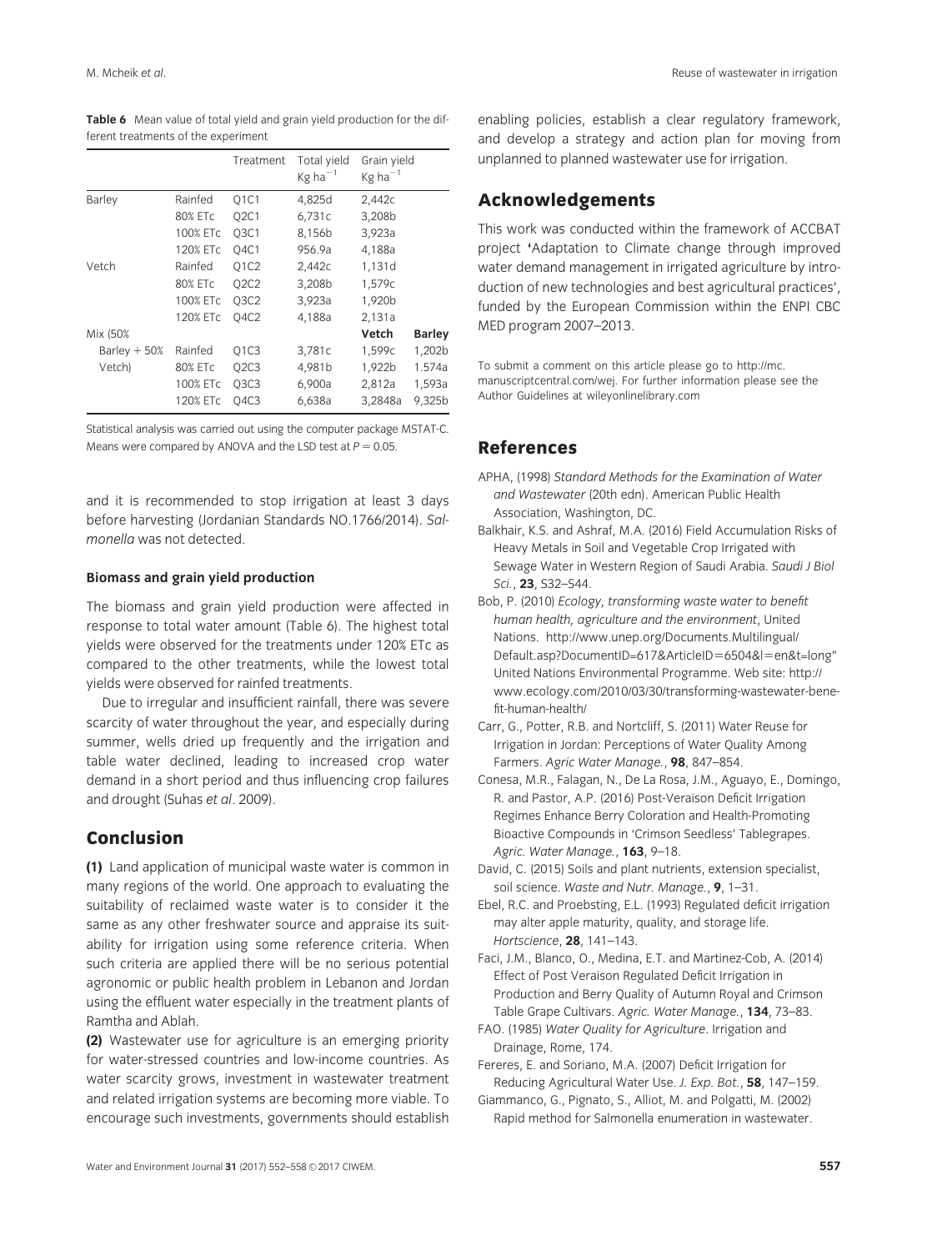Table 6 Mean value of total yield and grain yield production for the different treatments of the experiment

|               |          | Treatment   | Total yield<br>$Kg$ ha $^{-1}$ | Grain yield<br>$Kg$ ha <sup>-1</sup> |               |
|---------------|----------|-------------|--------------------------------|--------------------------------------|---------------|
| <b>Barley</b> | Rainfed  | Q1C1        | 4,825d                         | 2,442c                               |               |
|               | 80% ETc  | <b>Q2C1</b> | 6,731c                         | 3,208b                               |               |
|               | 100% ETc | <b>03C1</b> | 8,156b                         | 3,923a                               |               |
|               | 120% ETc | O4C1        | 956.9a                         | 4,188a                               |               |
| Vetch         | Rainfed  | <b>Q1C2</b> | 2,442c                         | 1,131d                               |               |
|               | 80% ETc  | Q2C2        | 3,208b                         | 1,579c                               |               |
|               | 100% ETc | <b>Q3C2</b> | 3,923a                         | 1,920b                               |               |
|               | 120% ETc | 04C2        | 4,188a                         | 2,131a                               |               |
| Mix (50%      |          |             |                                | Vetch                                | <b>Barley</b> |
| Barley $+50%$ | Rainfed  | Q1C3        | 3,781c                         | 1,599c                               | 1,202b        |
| Vetch)        | 80% ETc  | Q2C3        | 4,981b                         | 1,922b                               | 1.574a        |
|               | 100% ETc | Q3C3        | 6,900a                         | 2,812a                               | 1,593a        |
|               | 120% ETc | Q4C3        | 6,638a                         | 3,2848a                              | 9,325b        |

Statistical analysis was carried out using the computer package MSTAT-C. Means were compared by ANOVA and the LSD test at  $P = 0.05$ .

and it is recommended to stop irrigation at least 3 days before harvesting (Jordanian Standards NO.1766/2014). Salmonella was not detected.

# Biomass and grain yield production

The biomass and grain yield production were affected in response to total water amount (Table 6). The highest total yields were observed for the treatments under 120% ETc as compared to the other treatments, while the lowest total yields were observed for rainfed treatments.

Due to irregular and insufficient rainfall, there was severe scarcity of water throughout the year, and especially during summer, wells dried up frequently and the irrigation and table water declined, leading to increased crop water demand in a short period and thus influencing crop failures and drought (Suhas et al. 2009).

# Conclusion

(1) Land application of municipal waste water is common in many regions of the world. One approach to evaluating the suitability of reclaimed waste water is to consider it the same as any other freshwater source and appraise its suitability for irrigation using some reference criteria. When such criteria are applied there will be no serious potential agronomic or public health problem in Lebanon and Jordan using the effluent water especially in the treatment plants of Ramtha and Ablah.

(2) Wastewater use for agriculture is an emerging priority for water-stressed countries and low-income countries. As water scarcity grows, investment in wastewater treatment and related irrigation systems are becoming more viable. To encourage such investments, governments should establish enabling policies, establish a clear regulatory framework, and develop a strategy and action plan for moving from unplanned to planned wastewater use for irrigation.

# Acknowledgements

This work was conducted within the framework of ACCBAT project 'Adaptation to Climate change through improved water demand management in irrigated agriculture by introduction of new technologies and best agricultural practices', funded by the European Commission within the ENPI CBC MED program 2007–2013.

To submit a comment on this article please go to [http://mc.](http://mc.manuscriptcentral.com/wej) [manuscriptcentral.com/wej.](http://mc.manuscriptcentral.com/wej) For further information please see the Author Guidelines at [wileyonlinelibrary.com](http://wileyonlinelibrary.com)

# References

- APHA, (1998) Standard Methods for the Examination of Water and Wastewater (20th edn). American Public Health Association, Washington, DC.
- Balkhair, K.S. and Ashraf, M.A. (2016) Field Accumulation Risks of Heavy Metals in Soil and Vegetable Crop Irrigated with Sewage Water in Western Region of Saudi Arabia. Saudi J Biol Sci., 23, S32-S44.
- Bob, P. (2010) Ecology, transforming waste water to benefit human health, agriculture and the environment, United Nations. [http://www.unep.org/Documents.Multilingual/](http://www.unep.org/Documents.Multilingual/Default.asp?DocumentID=617&ArticleID=6504&l=en&t=longhttp://www.unep.org/Documents.Multilingual/Default.asp?DocumentID=617&ArticleID=6504&l=en&t=long) [Default.asp?DocumentID=617](http://www.unep.org/Documents.Multilingual/Default.asp?DocumentID=617&ArticleID=6504&l=en&t=longhttp://www.unep.org/Documents.Multilingual/Default.asp?DocumentID=617&ArticleID=6504&l=en&t=long)&[ArticleID](http://www.unep.org/Documents.Multilingual/Default.asp?DocumentID=617&ArticleID=6504&l=en&t=longhttp://www.unep.org/Documents.Multilingual/Default.asp?DocumentID=617&ArticleID=6504&l=en&t=long)=[6504](http://www.unep.org/Documents.Multilingual/Default.asp?DocumentID=617&ArticleID=6504&l=en&t=longhttp://www.unep.org/Documents.Multilingual/Default.asp?DocumentID=617&ArticleID=6504&l=en&t=long)&[l](http://www.unep.org/Documents.Multilingual/Default.asp?DocumentID=617&ArticleID=6504&l=en&t=longhttp://www.unep.org/Documents.Multilingual/Default.asp?DocumentID=617&ArticleID=6504&l=en&t=long)=[en&t=long](http://www.unep.org/Documents.Multilingual/Default.asp?DocumentID=617&ArticleID=6504&l=en&t=longhttp://www.unep.org/Documents.Multilingual/Default.asp?DocumentID=617&ArticleID=6504&l=en&t=long)" United Nations Environmental Programme. Web site: [http://](http://www.ecology.com/2010/03/30/transforming-wastewater-benefit-human-health/) [www.ecology.com/2010/03/30/transforming-wastewater-bene](http://www.ecology.com/2010/03/30/transforming-wastewater-benefit-human-health/)[fit-human-health/](http://www.ecology.com/2010/03/30/transforming-wastewater-benefit-human-health/)
- Carr, G., Potter, R.B. and Nortcliff, S. (2011) Water Reuse for Irrigation in Jordan: Perceptions of Water Quality Among Farmers. Agric Water Manage., 98, 847-854.
- Conesa, M.R., Falagan, N., De La Rosa, J.M., Aguayo, E., Domingo, R. and Pastor, A.P. (2016) Post-Veraison Deficit Irrigation Regimes Enhance Berry Coloration and Health-Promoting Bioactive Compounds in 'Crimson Seedless' Tablegrapes. Agric. Water Manage., 163, 9–18.
- David, C. (2015) Soils and plant nutrients, extension specialist, soil science. Waste and Nutr. Manage., 9, 1–31.
- Ebel, R.C. and Proebsting, E.L. (1993) Regulated deficit irrigation may alter apple maturity, quality, and storage life. Hortscience, 28, 141–143.
- Faci, J.M., Blanco, O., Medina, E.T. and Martinez-Cob, A. (2014) Effect of Post Veraison Regulated Deficit Irrigation in Production and Berry Quality of Autumn Royal and Crimson Table Grape Cultivars. Agric. Water Manage., 134, 73–83.
- FAO. (1985) Water Quality for Agriculture. Irrigation and Drainage, Rome, 174.
- Fereres, E. and Soriano, M.A. (2007) Deficit Irrigation for Reducing Agricultural Water Use. J. Exp. Bot., 58, 147-159.
- Giammanco, G., Pignato, S., Alliot, M. and Polgatti, M. (2002) Rapid method for Salmonella enumeration in wastewater.